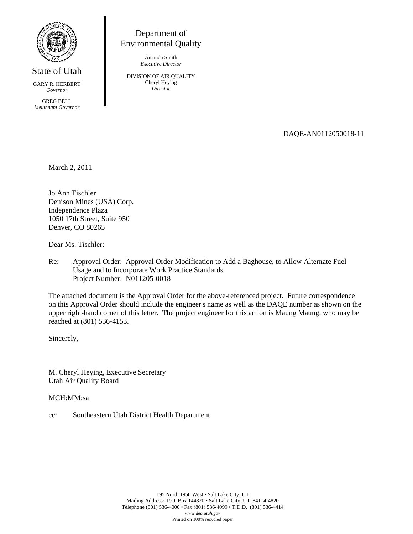

State of Utah

GARY R. HERBERT *Governor* 

GREG BELL *Lieutenant Governor*

## Department of Environmental Quality

Amanda Smith *Executive Director* 

DIVISION OF AIR QUALITY Cheryl Heying *Director* 

DAQE-AN0112050018-11

March 2, 2011

Jo Ann Tischler Denison Mines (USA) Corp. Independence Plaza 1050 17th Street, Suite 950 Denver, CO 80265

Dear Ms. Tischler:

Re: Approval Order: Approval Order Modification to Add a Baghouse, to Allow Alternate Fuel Usage and to Incorporate Work Practice Standards Project Number: N011205-0018

The attached document is the Approval Order for the above-referenced project. Future correspondence on this Approval Order should include the engineer's name as well as the DAQE number as shown on the upper right-hand corner of this letter. The project engineer for this action is Maung Maung, who may be reached at (801) 536-4153.

Sincerely,

M. Cheryl Heying, Executive Secretary Utah Air Quality Board

MCH:MM:sa

cc: Southeastern Utah District Health Department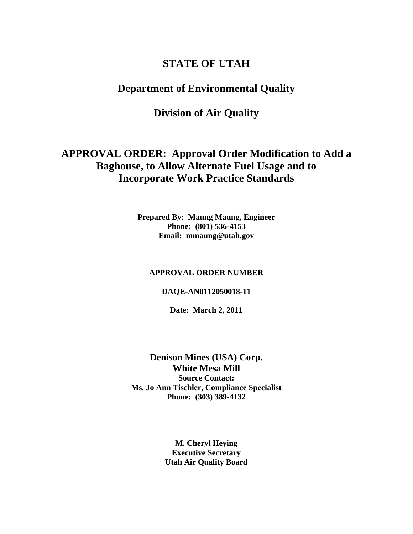# **STATE OF UTAH**

## **Department of Environmental Quality**

# **Division of Air Quality**

# **APPROVAL ORDER: Approval Order Modification to Add a Baghouse, to Allow Alternate Fuel Usage and to Incorporate Work Practice Standards**

**Prepared By: Maung Maung, Engineer Phone: (801) 536-4153 Email: mmaung@utah.gov** 

#### **APPROVAL ORDER NUMBER**

#### **DAQE-AN0112050018-11**

**Date: March 2, 2011** 

### **Denison Mines (USA) Corp. White Mesa Mill Source Contact: Ms. Jo Ann Tischler, Compliance Specialist Phone: (303) 389-4132**

**M. Cheryl Heying Executive Secretary Utah Air Quality Board**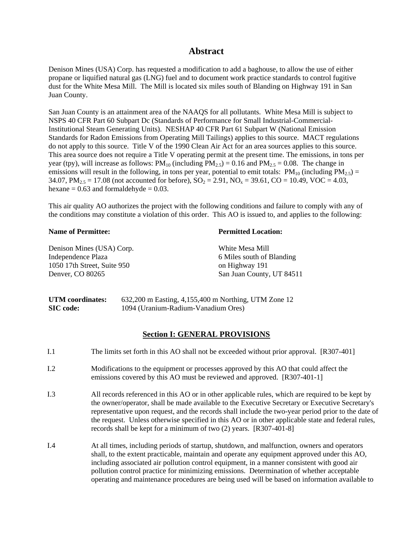### **Abstract**

Denison Mines (USA) Corp. has requested a modification to add a baghouse, to allow the use of either propane or liquified natural gas (LNG) fuel and to document work practice standards to control fugitive dust for the White Mesa Mill. The Mill is located six miles south of Blanding on Highway 191 in San Juan County.

San Juan County is an attainment area of the NAAQS for all pollutants. White Mesa Mill is subject to NSPS 40 CFR Part 60 Subpart Dc (Standards of Performance for Small Industrial-Commercial-Institutional Steam Generating Units). NESHAP 40 CFR Part 61 Subpart W (National Emission Standards for Radon Emissions from Operating Mill Tailings) applies to this source. MACT regulations do not apply to this source. Title V of the 1990 Clean Air Act for an area sources applies to this source. This area source does not require a Title V operating permit at the present time. The emissions, in tons per year (tpy), will increase as follows:  $PM_{10}$  (including  $PM_{2.5} = 0.16$  and  $PM_{2.5} = 0.08$ . The change in emissions will result in the following, in tons per year, potential to emit totals:  $PM_{10}$  (including  $PM_{2.5}$ ) = 34.07,  $PM_{2.5} = 17.08$  (not accounted for before),  $SO_2 = 2.91$ ,  $NO_x = 39.61$ ,  $CO = 10.49$ ,  $VOC = 4.03$ , hexane  $= 0.63$  and formaldehyde  $= 0.03$ .

This air quality AO authorizes the project with the following conditions and failure to comply with any of the conditions may constitute a violation of this order. This AO is issued to, and applies to the following:

#### **Name of Permittee:**

Denison Mines (USA) Corp. Independence Plaza 1050 17th Street, Suite 950 Denver, CO 80265

#### **Permitted Location:**

White Mesa Mill 6 Miles south of Blanding on Highway 191 San Juan County, UT 84511

**UTM coordinates:** 632,200 m Easting, 4,155,400 m Northing, UTM Zone 12 **SIC code:** 1094 (Uranium-Radium-Vanadium Ores)

#### **Section I: GENERAL PROVISIONS**

- I.1 The limits set forth in this AO shall not be exceeded without prior approval. [R307-401]
- I.2 Modifications to the equipment or processes approved by this AO that could affect the emissions covered by this AO must be reviewed and approved. [R307-401-1]
- I.3 All records referenced in this AO or in other applicable rules, which are required to be kept by the owner/operator, shall be made available to the Executive Secretary or Executive Secretary's representative upon request, and the records shall include the two-year period prior to the date of the request. Unless otherwise specified in this AO or in other applicable state and federal rules, records shall be kept for a minimum of two (2) years. [R307-401-8]
- I.4 At all times, including periods of startup, shutdown, and malfunction, owners and operators shall, to the extent practicable, maintain and operate any equipment approved under this AO, including associated air pollution control equipment, in a manner consistent with good air pollution control practice for minimizing emissions. Determination of whether acceptable operating and maintenance procedures are being used will be based on information available to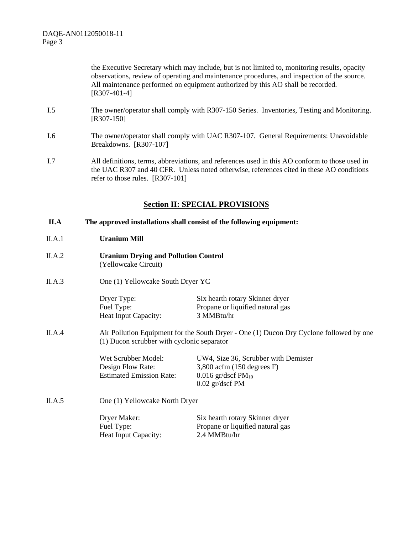> the Executive Secretary which may include, but is not limited to, monitoring results, opacity observations, review of operating and maintenance procedures, and inspection of the source. All maintenance performed on equipment authorized by this AO shall be recorded. [R307-401-4]

- I.5 The owner/operator shall comply with R307-150 Series. Inventories, Testing and Monitoring. [R307-150]
- I.6 The owner/operator shall comply with UAC R307-107. General Requirements: Unavoidable Breakdowns. [R307-107]
- I.7 All definitions, terms, abbreviations, and references used in this AO conform to those used in the UAC R307 and 40 CFR. Unless noted otherwise, references cited in these AO conditions refer to those rules. [R307-101]

### **Section II: SPECIAL PROVISIONS**

#### **II.A The approved installations shall consist of the following equipment:**

#### II.A.1 **Uranium Mill**

- II.A.2 **Uranium Drying and Pollution Control**  (Yellowcake Circuit)
- II.A.3 One (1) Yellowcake South Dryer YC

Dryer Type: Six hearth rotary Skinner dryer Fuel Type: Propane or liquified natural gas Heat Input Capacity: 3 MMBtu/hr

II.A.4 Air Pollution Equipment for the South Dryer - One (1) Ducon Dry Cyclone followed by one (1) Ducon scrubber with cyclonic separator

> Wet Scrubber Model: UW4, Size 36, Scrubber with Demister Design Flow Rate: 3,800 acfm (150 degrees F) Estimated Emission Rate:  $0.016$  gr/dscf PM<sub>10</sub> 0.02 gr/dscf PM

II.A.5 One (1) Yellowcake North Dryer

| Dryer Maker:                | Six hearth rotary Skinner dryer  |
|-----------------------------|----------------------------------|
| Fuel Type:                  | Propane or liquified natural gas |
| <b>Heat Input Capacity:</b> | 2.4 MMBtu/hr                     |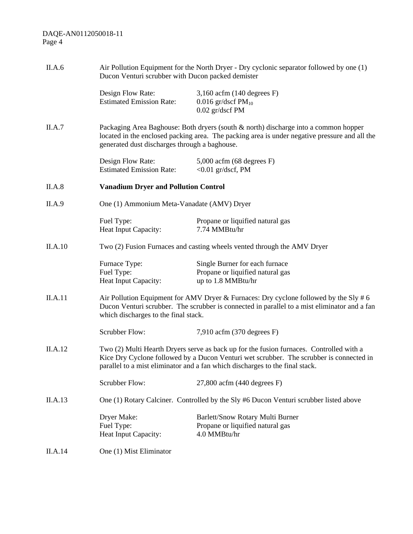| II.A.6  | Air Pollution Equipment for the North Dryer - Dry cyclonic separator followed by one (1)<br>Ducon Venturi scrubber with Ducon packed demister                                                                                                                      |                                                                                                                                                                                                                                       |  |  |
|---------|--------------------------------------------------------------------------------------------------------------------------------------------------------------------------------------------------------------------------------------------------------------------|---------------------------------------------------------------------------------------------------------------------------------------------------------------------------------------------------------------------------------------|--|--|
|         | Design Flow Rate:<br><b>Estimated Emission Rate:</b>                                                                                                                                                                                                               | $3,160$ acfm (140 degrees F)<br>0.016 gr/dscf $PM_{10}$<br>0.02 gr/dscf PM                                                                                                                                                            |  |  |
| II.A.7  |                                                                                                                                                                                                                                                                    | Packaging Area Baghouse: Both dryers (south & north) discharge into a common hopper<br>located in the enclosed packing area. The packing area is under negative pressure and all the<br>generated dust discharges through a baghouse. |  |  |
|         | Design Flow Rate:<br><b>Estimated Emission Rate:</b>                                                                                                                                                                                                               | 5,000 acfm (68 degrees F)<br>$<$ 0.01 gr/dscf, PM                                                                                                                                                                                     |  |  |
| II.A.8  | <b>Vanadium Dryer and Pollution Control</b>                                                                                                                                                                                                                        |                                                                                                                                                                                                                                       |  |  |
| II.A.9  | One (1) Ammonium Meta-Vanadate (AMV) Dryer                                                                                                                                                                                                                         |                                                                                                                                                                                                                                       |  |  |
|         | Fuel Type:<br>Heat Input Capacity:                                                                                                                                                                                                                                 | Propane or liquified natural gas<br>7.74 MMBtu/hr                                                                                                                                                                                     |  |  |
| II.A.10 |                                                                                                                                                                                                                                                                    | Two (2) Fusion Furnaces and casting wheels vented through the AMV Dryer                                                                                                                                                               |  |  |
|         | Furnace Type:<br>Fuel Type:<br>Heat Input Capacity:                                                                                                                                                                                                                | Single Burner for each furnace<br>Propane or liquified natural gas<br>up to 1.8 MMBtu/hr                                                                                                                                              |  |  |
| II.A.11 | Air Pollution Equipment for AMV Dryer & Furnaces: Dry cyclone followed by the Sly # 6<br>Ducon Venturi scrubber. The scrubber is connected in parallel to a mist eliminator and a fan<br>which discharges to the final stack.                                      |                                                                                                                                                                                                                                       |  |  |
|         | Scrubber Flow:                                                                                                                                                                                                                                                     | $7,910$ acfm $(370$ degrees F)                                                                                                                                                                                                        |  |  |
| II.A.12 | Two (2) Multi Hearth Dryers serve as back up for the fusion furnaces. Controlled with a<br>Kice Dry Cyclone followed by a Ducon Venturi wet scrubber. The scrubber is connected in<br>parallel to a mist eliminator and a fan which discharges to the final stack. |                                                                                                                                                                                                                                       |  |  |
|         | <b>Scrubber Flow:</b>                                                                                                                                                                                                                                              | $27,800$ acfm $(440$ degrees F)                                                                                                                                                                                                       |  |  |
| II.A.13 | One (1) Rotary Calciner. Controlled by the Sly #6 Ducon Venturi scrubber listed above                                                                                                                                                                              |                                                                                                                                                                                                                                       |  |  |
|         | Dryer Make:<br>Fuel Type:<br>Heat Input Capacity:                                                                                                                                                                                                                  | Barlett/Snow Rotary Multi Burner<br>Propane or liquified natural gas<br>4.0 MMBtu/hr                                                                                                                                                  |  |  |
| II.A.14 | One (1) Mist Eliminator                                                                                                                                                                                                                                            |                                                                                                                                                                                                                                       |  |  |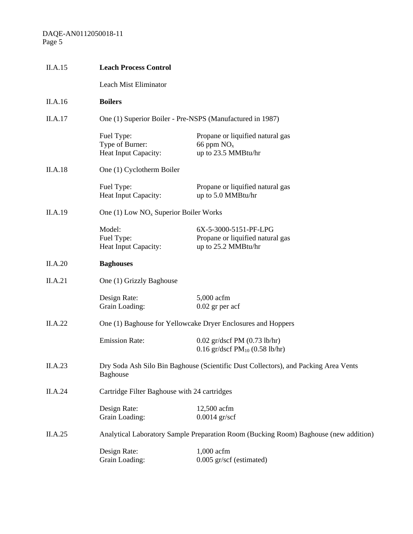| II.A.15        | <b>Leach Process Control</b>                                                                           |                                                                                  |  |  |
|----------------|--------------------------------------------------------------------------------------------------------|----------------------------------------------------------------------------------|--|--|
|                | Leach Mist Eliminator                                                                                  |                                                                                  |  |  |
| II.A.16        | <b>Boilers</b>                                                                                         |                                                                                  |  |  |
| II.A.17        |                                                                                                        | One (1) Superior Boiler - Pre-NSPS (Manufactured in 1987)                        |  |  |
|                | Fuel Type:<br>Type of Burner:<br><b>Heat Input Capacity:</b>                                           | Propane or liquified natural gas<br>66 ppm $NOx$<br>up to 23.5 MMBtu/hr          |  |  |
| <b>II.A.18</b> | One (1) Cyclotherm Boiler                                                                              |                                                                                  |  |  |
|                | Fuel Type:<br>Heat Input Capacity:                                                                     | Propane or liquified natural gas<br>up to 5.0 MMBtu/hr                           |  |  |
| II.A.19        | One (1) Low $NOx$ Superior Boiler Works                                                                |                                                                                  |  |  |
|                | Model:<br>Fuel Type:<br>Heat Input Capacity:                                                           | 6X-5-3000-5151-PF-LPG<br>Propane or liquified natural gas<br>up to 25.2 MMBtu/hr |  |  |
| II.A.20        | <b>Baghouses</b>                                                                                       |                                                                                  |  |  |
| II.A.21        | One (1) Grizzly Baghouse                                                                               |                                                                                  |  |  |
|                | Design Rate:<br>Grain Loading:                                                                         | 5,000 acfm<br>$0.02$ gr per acf                                                  |  |  |
| II.A.22        | One (1) Baghouse for Yellowcake Dryer Enclosures and Hoppers                                           |                                                                                  |  |  |
|                | <b>Emission Rate:</b>                                                                                  | $0.02$ gr/dscf PM $(0.73 \text{ lb/hr})$<br>0.16 gr/dscf $PM_{10}$ (0.58 lb/hr)  |  |  |
| II.A.23        | Dry Soda Ash Silo Bin Baghouse (Scientific Dust Collectors), and Packing Area Vents<br><b>Baghouse</b> |                                                                                  |  |  |
| II.A.24        | Cartridge Filter Baghouse with 24 cartridges                                                           |                                                                                  |  |  |
|                | Design Rate:<br>Grain Loading:                                                                         | 12,500 acfm<br>$0.0014$ gr/scf                                                   |  |  |
| II.A.25        | Analytical Laboratory Sample Preparation Room (Bucking Room) Baghouse (new addition)                   |                                                                                  |  |  |
|                | Design Rate:<br>Grain Loading:                                                                         | 1,000 acfm<br>0.005 gr/scf (estimated)                                           |  |  |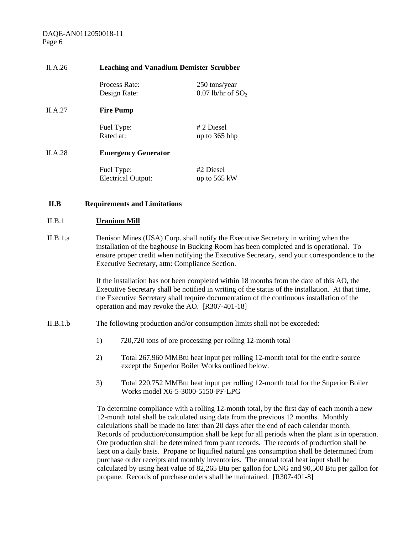#### II.A.26 **Leaching and Vanadium Demister Scrubber**

Process Rate: 250 tons/year

Design Rate:  $0.07$  lb/hr of  $SO<sub>2</sub>$ 

II.A.27 **Fire Pump** 

Fuel Type: # 2 Diesel

Rated at: up to 365 bhp

#### II.A.28 **Emergency Generator**

Fuel Type: #2 Diesel Electrical Output: up to 565 kW

#### **II.B Requirements and Limitations**

#### II.B.1 **Uranium Mill**

II.B.1.a Denison Mines (USA) Corp. shall notify the Executive Secretary in writing when the installation of the baghouse in Bucking Room has been completed and is operational. To ensure proper credit when notifying the Executive Secretary, send your correspondence to the Executive Secretary, attn: Compliance Section.

> If the installation has not been completed within 18 months from the date of this AO, the Executive Secretary shall be notified in writing of the status of the installation. At that time, the Executive Secretary shall require documentation of the continuous installation of the operation and may revoke the AO. [R307-401-18]

- II.B.1.b The following production and/or consumption limits shall not be exceeded:
	- 1) 720,720 tons of ore processing per rolling 12-month total
	- 2) Total 267,960 MMBtu heat input per rolling 12-month total for the entire source except the Superior Boiler Works outlined below.
	- 3) Total 220,752 MMBtu heat input per rolling 12-month total for the Superior Boiler Works model X6-5-3000-5150-PF-LPG

To determine compliance with a rolling 12-month total, by the first day of each month a new 12-month total shall be calculated using data from the previous 12 months. Monthly calculations shall be made no later than 20 days after the end of each calendar month. Records of production/consumption shall be kept for all periods when the plant is in operation. Ore production shall be determined from plant records. The records of production shall be kept on a daily basis. Propane or liquified natural gas consumption shall be determined from purchase order receipts and monthly inventories. The annual total heat input shall be calculated by using heat value of 82,265 Btu per gallon for LNG and 90,500 Btu per gallon for propane. Records of purchase orders shall be maintained. [R307-401-8]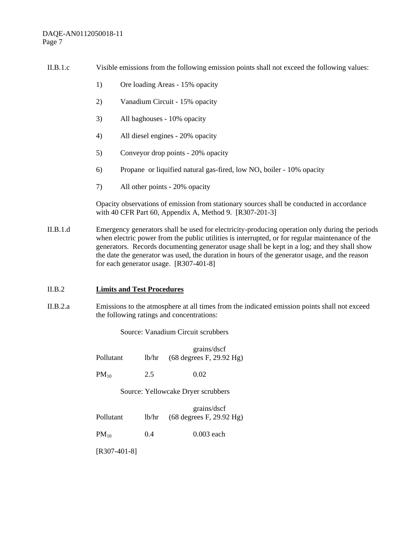| II.B.1.c<br>Visible emissions from the following emission points shall not exceed the following values: |  |
|---------------------------------------------------------------------------------------------------------|--|
|---------------------------------------------------------------------------------------------------------|--|

- 1) Ore loading Areas 15% opacity
- 2) Vanadium Circuit 15% opacity
- 3) All baghouses 10% opacity
- 4) All diesel engines 20% opacity
- 5) Conveyor drop points 20% opacity
- 6) Propane or liquified natural gas-fired, low  $NO<sub>x</sub>$  boiler 10% opacity
- 7) All other points 20% opacity

Opacity observations of emission from stationary sources shall be conducted in accordance with 40 CFR Part 60, Appendix A, Method 9. [R307-201-3]

II.B.1.d Emergency generators shall be used for electricity-producing operation only during the periods when electric power from the public utilities is interrupted, or for regular maintenance of the generators. Records documenting generator usage shall be kept in a log; and they shall show the date the generator was used, the duration in hours of the generator usage, and the reason for each generator usage. [R307-401-8]

#### II.B.2 **Limits and Test Procedures**

II.B.2.a Emissions to the atmosphere at all times from the indicated emission points shall not exceed the following ratings and concentrations:

Source: Vanadium Circuit scrubbers

 grains/dscf Pollutant lb/hr (68 degrees F, 29.92 Hg)

 $PM_{10}$  2.5 0.02

Source: Yellowcake Dryer scrubbers

 grains/dscf Pollutant lb/hr (68 degrees F, 29.92 Hg)

 $PM_{10}$  0.4 0.003 each

[R307-401-8]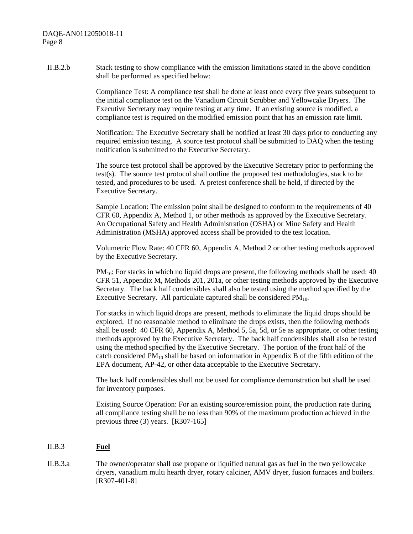II.B.2.b Stack testing to show compliance with the emission limitations stated in the above condition shall be performed as specified below:

> Compliance Test: A compliance test shall be done at least once every five years subsequent to the initial compliance test on the Vanadium Circuit Scrubber and Yellowcake Dryers. The Executive Secretary may require testing at any time. If an existing source is modified, a compliance test is required on the modified emission point that has an emission rate limit.

> Notification: The Executive Secretary shall be notified at least 30 days prior to conducting any required emission testing. A source test protocol shall be submitted to DAQ when the testing notification is submitted to the Executive Secretary.

The source test protocol shall be approved by the Executive Secretary prior to performing the test(s). The source test protocol shall outline the proposed test methodologies, stack to be tested, and procedures to be used. A pretest conference shall be held, if directed by the Executive Secretary.

Sample Location: The emission point shall be designed to conform to the requirements of 40 CFR 60, Appendix A, Method 1, or other methods as approved by the Executive Secretary. An Occupational Safety and Health Administration (OSHA) or Mine Safety and Health Administration (MSHA) approved access shall be provided to the test location.

Volumetric Flow Rate: 40 CFR 60, Appendix A, Method 2 or other testing methods approved by the Executive Secretary.

 $PM_{10}$ : For stacks in which no liquid drops are present, the following methods shall be used: 40 CFR 51, Appendix M, Methods 201, 201a, or other testing methods approved by the Executive Secretary. The back half condensibles shall also be tested using the method specified by the Executive Secretary. All particulate captured shall be considered  $PM_{10}$ .

For stacks in which liquid drops are present, methods to eliminate the liquid drops should be explored. If no reasonable method to eliminate the drops exists, then the following methods shall be used: 40 CFR 60, Appendix A, Method 5, 5a, 5d, or 5e as appropriate, or other testing methods approved by the Executive Secretary. The back half condensibles shall also be tested using the method specified by the Executive Secretary. The portion of the front half of the catch considered  $PM_{10}$  shall be based on information in Appendix B of the fifth edition of the EPA document, AP-42, or other data acceptable to the Executive Secretary.

The back half condensibles shall not be used for compliance demonstration but shall be used for inventory purposes.

Existing Source Operation: For an existing source/emission point, the production rate during all compliance testing shall be no less than 90% of the maximum production achieved in the previous three (3) years. [R307-165]

#### II.B.3 **Fuel**

II.B.3.a The owner/operator shall use propane or liquified natural gas as fuel in the two yellowcake dryers, vanadium multi hearth dryer, rotary calciner, AMV dryer, fusion furnaces and boilers. [R307-401-8]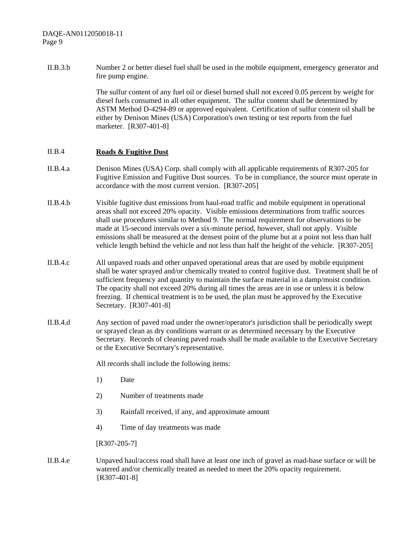II.B.3.b Number 2 or better diesel fuel shall be used in the mobile equipment, emergency generator and fire pump engine.

> The sulfur content of any fuel oil or diesel burned shall not exceed 0.05 percent by weight for diesel fuels consumed in all other equipment. The sulfur content shall be determined by ASTM Method D-4294-89 or approved equivalent. Certification of sulfur content oil shall be either by Denison Mines (USA) Corporation's own testing or test reports from the fuel marketer. [R307-401-8]

#### II.B.4 **Roads & Fugitive Dust**

- II.B.4.a Denison Mines (USA) Corp. shall comply with all applicable requirements of R307-205 for Fugitive Emission and Fugitive Dust sources. To be in compliance, the source must operate in accordance with the most current version. [R307-205]
- II.B.4.b Visible fugitive dust emissions from haul-road traffic and mobile equipment in operational areas shall not exceed 20% opacity. Visible emissions determinations from traffic sources shall use procedures similar to Method 9. The normal requirement for observations to be made at 15-second intervals over a six-minute period, however, shall not apply. Visible emissions shall be measured at the densest point of the plume but at a point not less than half vehicle length behind the vehicle and not less than half the height of the vehicle. [R307-205]
- II.B.4.c All unpaved roads and other unpaved operational areas that are used by mobile equipment shall be water sprayed and/or chemically treated to control fugitive dust. Treatment shall be of sufficient frequency and quantity to maintain the surface material in a damp/moist condition. The opacity shall not exceed 20% during all times the areas are in use or unless it is below freezing. If chemical treatment is to be used, the plan must be approved by the Executive Secretary. [R307-401-8]
- II.B.4.d Any section of paved road under the owner/operator's jurisdiction shall be periodically swept or sprayed clean as dry conditions warrant or as determined necessary by the Executive Secretary. Records of cleaning paved roads shall be made available to the Executive Secretary or the Executive Secretary's representative.

All records shall include the following items:

- 1) Date
- 2) Number of treatments made
- 3) Rainfall received, if any, and approximate amount
- 4) Time of day treatments was made

[R307-205-7]

II.B.4.e Unpaved haul/access road shall have at least one inch of gravel as road-base surface or will be watered and/or chemically treated as needed to meet the 20% opacity requirement. [R307-401-8]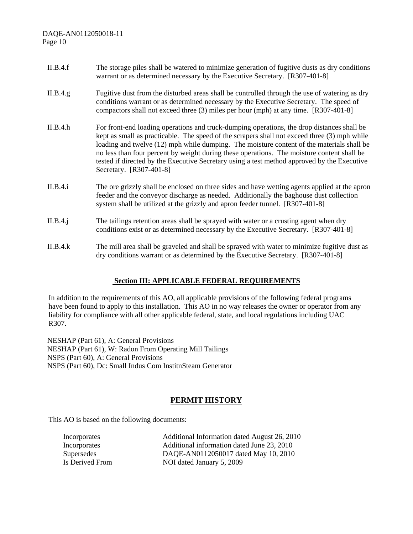- II.B.4.f The storage piles shall be watered to minimize generation of fugitive dusts as dry conditions warrant or as determined necessary by the Executive Secretary. [R307-401-8]
- II.B.4.g Fugitive dust from the disturbed areas shall be controlled through the use of watering as dry conditions warrant or as determined necessary by the Executive Secretary. The speed of compactors shall not exceed three (3) miles per hour (mph) at any time. [R307-401-8]
- II.B.4.h For front-end loading operations and truck-dumping operations, the drop distances shall be kept as small as practicable. The speed of the scrapers shall not exceed three (3) mph while loading and twelve (12) mph while dumping. The moisture content of the materials shall be no less than four percent by weight during these operations. The moisture content shall be tested if directed by the Executive Secretary using a test method approved by the Executive Secretary. [R307-401-8]
- II.B.4.i The ore grizzly shall be enclosed on three sides and have wetting agents applied at the apron feeder and the conveyor discharge as needed. Additionally the baghouse dust collection system shall be utilized at the grizzly and apron feeder tunnel. [R307-401-8]
- II.B.4.j The tailings retention areas shall be sprayed with water or a crusting agent when dry conditions exist or as determined necessary by the Executive Secretary. [R307-401-8]
- II.B.4.k The mill area shall be graveled and shall be sprayed with water to minimize fugitive dust as dry conditions warrant or as determined by the Executive Secretary. [R307-401-8]

#### **Section III: APPLICABLE FEDERAL REQUIREMENTS**

In addition to the requirements of this AO, all applicable provisions of the following federal programs have been found to apply to this installation. This AO in no way releases the owner or operator from any liability for compliance with all other applicable federal, state, and local regulations including UAC R307.

NESHAP (Part 61), A: General Provisions NESHAP (Part 61), W: Radon From Operating Mill Tailings NSPS (Part 60), A: General Provisions NSPS (Part 60), Dc: Small Indus Com InstitnSteam Generator

### **PERMIT HISTORY**

This AO is based on the following documents:

| Incorporates    | Additional Information dated August 26, 2010 |
|-----------------|----------------------------------------------|
| Incorporates    | Additional information dated June 23, 2010   |
| Supersedes      | DAQE-AN0112050017 dated May 10, 2010         |
| Is Derived From | NOI dated January 5, 2009                    |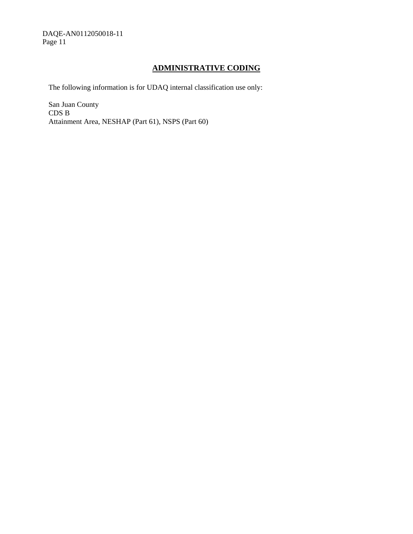### **ADMINISTRATIVE CODING**

The following information is for UDAQ internal classification use only:

San Juan County CDS B Attainment Area, NESHAP (Part 61), NSPS (Part 60)